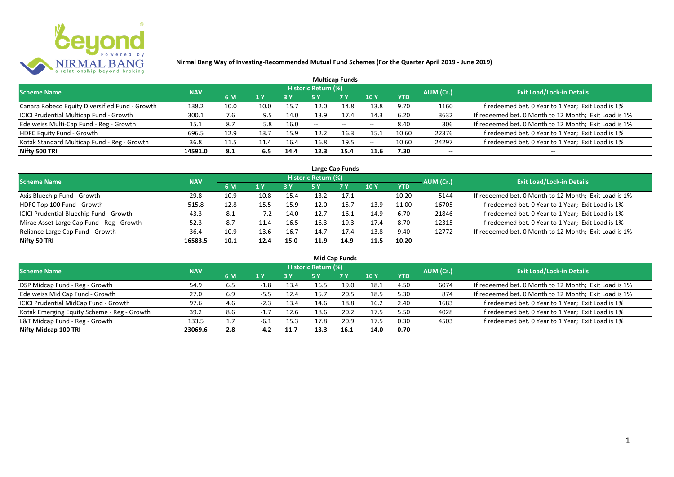

| <b>Multicap Funds</b>                          |            |      |      |      |                            |                          |                          |            |                          |                                                       |  |  |  |  |
|------------------------------------------------|------------|------|------|------|----------------------------|--------------------------|--------------------------|------------|--------------------------|-------------------------------------------------------|--|--|--|--|
| <b>Scheme Name</b>                             | <b>NAV</b> |      |      |      | <b>Historic Return (%)</b> |                          |                          |            | AUM (Cr.)                | <b>Exit Load/Lock-in Details</b>                      |  |  |  |  |
|                                                |            | 6 M  | 1 Y  | 8 Y  |                            | <b>7 Y</b>               | <b>10Y</b>               | <b>YTD</b> |                          |                                                       |  |  |  |  |
| Canara Robeco Equity Diversified Fund - Growth | 138.2      | 10.0 | 10.0 | 15.7 | 12.0                       | 14.8                     | 13.8                     | 9.70       | 1160                     | If redeemed bet. 0 Year to 1 Year; Exit Load is 1%    |  |  |  |  |
| ICICI Prudential Multicap Fund - Growth        | 300.1      | 7.6  |      | 14.0 | 13.9                       | 17.4                     | 14.3                     | 6.20       | 3632                     | If redeemed bet. 0 Month to 12 Month; Exit Load is 1% |  |  |  |  |
| Edelweiss Multi-Cap Fund - Reg - Growth        | 15.1       | 8.7  | 5.8  | 16.0 | $- -$                      | $\overline{\phantom{a}}$ | $\overline{\phantom{m}}$ | 8.40       | 306                      | If redeemed bet. 0 Month to 12 Month; Exit Load is 1% |  |  |  |  |
| HDFC Equity Fund - Growth                      | 696.5      | 12.9 | 13.7 | 15.9 | 12.2                       | 16.3                     | 15.1                     | 10.60      | 22376                    | If redeemed bet. 0 Year to 1 Year; Exit Load is 1%    |  |  |  |  |
| Kotak Standard Multicap Fund - Reg - Growth    | 36.8       | 11.5 | 11.4 | 16.4 | 16.8                       | 19.5                     | $\overline{\phantom{a}}$ | 10.60      | 24297                    | If redeemed bet. 0 Year to 1 Year; Exit Load is 1%    |  |  |  |  |
| Nifty 500 TRI                                  | 14591.0    | 8.1  | 6.5  | 14.4 | 12.3                       | 15.4                     | 11.6                     | 7.30       | $\overline{\phantom{a}}$ | --                                                    |  |  |  |  |

| Large Cap Funds                           |            |      |                  |      |                     |           |            |            |           |                                                       |  |  |  |
|-------------------------------------------|------------|------|------------------|------|---------------------|-----------|------------|------------|-----------|-------------------------------------------------------|--|--|--|
| Scheme Name                               | <b>NAV</b> |      |                  |      | Historic Return (%) |           |            |            | AUM (Cr.) | <b>Exit Load/Lock-in Details</b>                      |  |  |  |
|                                           |            | 6 M  | $\overline{1}$ Y |      | 5 Y                 | <b>7Y</b> | <b>10Y</b> | <b>YTD</b> |           |                                                       |  |  |  |
| Axis Bluechip Fund - Growth               | 29.8       | 10.9 | 10.8             | 15.4 | 13.2                | 17.1      | $- -$      | 10.20      | 5144      | If redeemed bet. 0 Month to 12 Month; Exit Load is 1% |  |  |  |
| HDFC Top 100 Fund - Growth                | 515.8      | 12.8 | 15.5             | 15.9 | 12.0                | 15.7      | 13.9       | 11.00      | 16705     | If redeemed bet. 0 Year to 1 Year; Exit Load is 1%    |  |  |  |
| ICICI Prudential Bluechip Fund - Growth   | 43.3       | 8.1  | 7.2              | 14.0 | 12.7                | 16.1      | 14.9       | 6.70       | 21846     | If redeemed bet. 0 Year to 1 Year; Exit Load is 1%    |  |  |  |
| Mirae Asset Large Cap Fund - Reg - Growth | 52.3       | 8.7  | 11.4             | 16.5 | 16.3                | 19.3      | 17.4       | 8.70       | 12315     | If redeemed bet. 0 Year to 1 Year; Exit Load is 1%    |  |  |  |
| Reliance Large Cap Fund - Growth          | 36.4       | 10.9 | 13.6             | 16.7 | 14.7                | 17.4      | 13.8       | 9.40       | 12772     | If redeemed bet. 0 Month to 12 Month; Exit Load is 1% |  |  |  |
| Nifty 50 TRI                              | 16583.5    | 10.1 | 12.4             | 15.0 | 11.9                | 14.9      | 11.5       | 10.20      |           |                                                       |  |  |  |

| <b>Mid Cap Funds</b>                        |            |           |        |      |                     |      |      |            |           |                                                       |  |  |  |
|---------------------------------------------|------------|-----------|--------|------|---------------------|------|------|------------|-----------|-------------------------------------------------------|--|--|--|
| <b>Scheme Name</b>                          | <b>NAV</b> |           |        |      | Historic Return (%) |      |      |            | AUM (Cr.) | <b>Exit Load/Lock-in Details</b>                      |  |  |  |
|                                             |            | <b>6M</b> | 1 Y    |      | 5 Y                 | 7 Y  | 10Y  | <b>YTD</b> |           |                                                       |  |  |  |
| DSP Midcap Fund - Reg - Growth              | 54.9       | 6.5       | -1.8   | 13.4 | 16.5                | 19.0 | 18.1 | 4.50       | 6074      | If redeemed bet. 0 Month to 12 Month; Exit Load is 1% |  |  |  |
| Edelweiss Mid Cap Fund - Growth             | 27.0       | 6.9       | -5.5   | 12.4 | 15.7                | 20.5 | 18.5 | 5.30       | 874       | If redeemed bet. 0 Month to 12 Month; Exit Load is 1% |  |  |  |
| ICICI Prudential MidCap Fund - Growth       | 97.6       | 4.6       | $-2.3$ | 13.4 | 14.6                | 18.8 | 16.2 | 2.40       | 1683      | If redeemed bet. 0 Year to 1 Year; Exit Load is 1%    |  |  |  |
| Kotak Emerging Equity Scheme - Reg - Growth | 39.2       | 8.6       | $-1.$  | 12.6 | 18.6                | 20.2 | 17.5 | 5.50       | 4028      | If redeemed bet. 0 Year to 1 Year; Exit Load is 1%    |  |  |  |
| L&T Midcap Fund - Reg - Growth              | 133.5      | 1.7       | -6.⊥   | 15.3 | 17.8                | 20.9 | 17.5 | 0.30       | 4503      | If redeemed bet. 0 Year to 1 Year; Exit Load is 1%    |  |  |  |
| Nifty Midcap 100 TRI                        | 23069.6    | 2.8       | $-4.2$ | 11.7 | 13.3                | 16.1 | 14.0 | 0.70       | --        | --                                                    |  |  |  |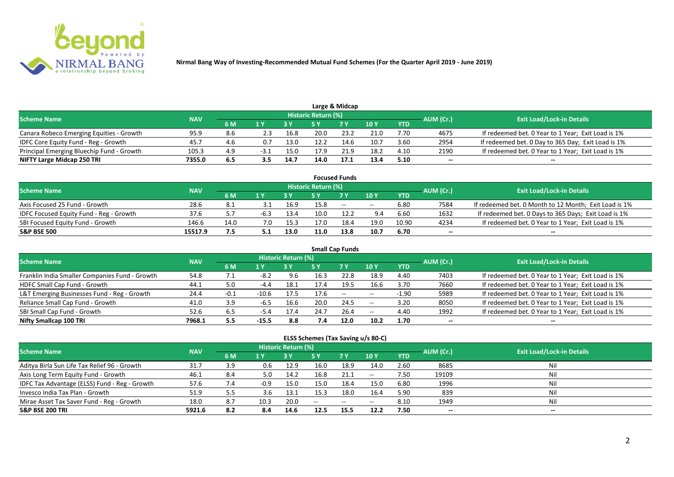

|                                           |            |     |      |      |                            | Large & Midcap |                 |            |           |                                                    |
|-------------------------------------------|------------|-----|------|------|----------------------------|----------------|-----------------|------------|-----------|----------------------------------------------------|
| <b>Scheme Name</b>                        | <b>NAV</b> |     |      |      | <b>Historic Return (%)</b> |                |                 |            | AUM (Cr.) | <b>Exit Load/Lock-in Details</b>                   |
|                                           |            | 6 M |      |      |                            | <b>7 Y</b>     | 10 <sub>Y</sub> | <b>YTD</b> |           |                                                    |
| Canara Robeco Emerging Equities - Growth  | 95.9       | 8.6 |      | 16.8 | 20.0                       | 23.2           | 21.0            | 7.70       | 4675      | If redeemed bet. 0 Year to 1 Year; Exit Load is 1% |
| IDFC Core Equity Fund - Reg - Growth      | 45.7       | 4.6 | 0.7  | 13.0 | 12.2                       | 14.6           | 10.7            | 3.60       | 2954      | If redeemed bet. 0 Day to 365 Day; Exit Load is 1% |
| Principal Emerging Bluechip Fund - Growth | 105.3      | 4.9 | -3.1 | 15.0 | 17.9                       | 21.9           | 18.2            | 4.10       | 2190      | If redeemed bet. 0 Year to 1 Year; Exit Load is 1% |
| NIFTY Large Midcap 250 TRI                | 7355.0     | 6.5 |      | 14.7 | 14.0                       | 17.1           | 13.4            | 5.10       | --        | $- -$                                              |

| <b>Focused Funds</b>                           |            |      |     |      |                     |        |       |            |           |                                                       |  |  |  |
|------------------------------------------------|------------|------|-----|------|---------------------|--------|-------|------------|-----------|-------------------------------------------------------|--|--|--|
| <b>Scheme Name</b>                             | <b>NAV</b> |      |     |      | Historic Return (%) |        |       |            | AUM (Cr.) | <b>Exit Load/Lock-in Details</b>                      |  |  |  |
|                                                |            | 6 M  | 1 V |      |                     | 7 Y    | 10Y   | <b>YTD</b> |           |                                                       |  |  |  |
| Axis Focused 25 Fund - Growth                  | 28.6       | -8.1 |     | 16.9 | 15.8                | $\sim$ | $- -$ | 6.80       | 7584      | If redeemed bet. 0 Month to 12 Month; Exit Load is 1% |  |  |  |
| <b>IDFC Focused Equity Fund - Reg - Growth</b> | 37.6       |      |     | 13.4 | 10.0                | 12.2   | 9.4   | 6.60       | 1632      | If redeemed bet. 0 Days to 365 Days; Exit Load is 1%  |  |  |  |
| SBI Focused Equity Fund - Growth               | 146.6      | 14.0 | 7.0 | 15.3 | 17.0                | 18.4   | 19.0  | 10.90      | 4234      | If redeemed bet. 0 Year to 1 Year; Exit Load is 1%    |  |  |  |
| <b>S&amp;P BSE 500</b>                         | 15517.9    | 7.5  |     | 13.0 | 11.0                | 13.8   | 10.7  | 6.70       | --        | --                                                    |  |  |  |

| <b>Small Cap Funds</b>                         |            |        |         |                            |      |                          |            |            |           |                                                    |  |  |  |
|------------------------------------------------|------------|--------|---------|----------------------------|------|--------------------------|------------|------------|-----------|----------------------------------------------------|--|--|--|
| <b>Scheme Name</b>                             | <b>NAV</b> |        |         | <b>Historic Return (%)</b> |      |                          |            |            | AUM (Cr.) | <b>Exit Load/Lock-in Details</b>                   |  |  |  |
|                                                |            | 6 M    | 1 Y     |                            | 5 Y  | <b>7Y</b>                | 10Y        | <b>YTD</b> |           |                                                    |  |  |  |
| Franklin India Smaller Companies Fund - Growth | 54.8       | 7.1    | $-8.2$  | 9.6                        | 16.3 | 22.8                     | 18.9       | 4.40       | 7403      | If redeemed bet. 0 Year to 1 Year; Exit Load is 1% |  |  |  |
| HDFC Small Cap Fund - Growth                   | 44.1       | 5.0    | $-4.4$  | 18.1                       | 17.4 | 19.5                     | 16.6       | 3.70       | 7660      | If redeemed bet. 0 Year to 1 Year; Exit Load is 1% |  |  |  |
| L&T Emerging Businesses Fund - Reg - Growth    | 24.4       | $-0.1$ | $-10.6$ | 17.5                       | 17.6 | $\overline{\phantom{a}}$ | $\sim$ $-$ | $-1.90$    | 5989      | If redeemed bet. 0 Year to 1 Year; Exit Load is 1% |  |  |  |
| Reliance Small Cap Fund - Growth               | 41.0       | 3.9    | -6.5    | 16.6                       | 20.0 | 24.5                     | $- -$      | 3.20       | 8050      | If redeemed bet. 0 Year to 1 Year; Exit Load is 1% |  |  |  |
| SBI Small Cap Fund - Growth                    | 52.6       | 6.5    | $-5.4$  | 17.4                       | 24.7 | 26.4                     | $- -$      | 4.40       | 1992      | If redeemed bet. 0 Year to 1 Year; Exit Load is 1% |  |  |  |
| Nifty Smallcap 100 TRI                         | 7968.1     | 5.5    | $-15.5$ | 8.8                        |      | 12.0                     | 10.2       | 1.70       | --        |                                                    |  |  |  |

#### **ELSS Schemes (Tax Saving u/s 80-C)**

| Scheme Name                                   | <b>NAV</b> |     |      | Historic Return (%) |      |                                                |                 |            | AUM (Cr.) | <b>Exit Load/Lock-in Details</b> |
|-----------------------------------------------|------------|-----|------|---------------------|------|------------------------------------------------|-----------------|------------|-----------|----------------------------------|
|                                               |            | 6 M | 1 Y  |                     |      | <b>7Y</b>                                      | 10 <sub>Y</sub> | <b>YTD</b> |           |                                  |
| Aditya Birla Sun Life Tax Relief 96 - Growth  | 31.7       | 3.9 | 0.6  | 12.9                | 16.0 | 18.9                                           | 14.0            | 2.60       | 8685      | Nil                              |
| Axis Long Term Equity Fund - Growth           | 46.1       | 8.4 | 5.0  | 14.2                | 16.8 | 21.1                                           | $- -$           | 7.50       | 19109     | Nil                              |
| IDFC Tax Advantage (ELSS) Fund - Reg - Growth | 57.6       | 7.4 | -0.9 | 15.0                | 15.0 | 18.4                                           | 15.0            | 6.80       | 1996      | Nil                              |
| Invesco India Tax Plan - Growth               | 51.9       | 5.5 | 3.6  | 13.1                | 15.3 | 18.0                                           | 16.4            | 5.90       | 839       | Nil                              |
| Mirae Asset Tax Saver Fund - Reg - Growth     | 18.0       | 8.7 | 10.3 | 20.0                | $-$  | $\hspace{0.1mm}-\hspace{0.1mm}-\hspace{0.1mm}$ | $- -$           | 8.10       | 1949      | Nil                              |
| <b>S&amp;P BSE 200 TRI</b>                    | 5921.6     | 8.2 | 8.4  | 14.6                | 12.5 | 15.5                                           | 12.2            | 7.50       | $- -$     | $- -$                            |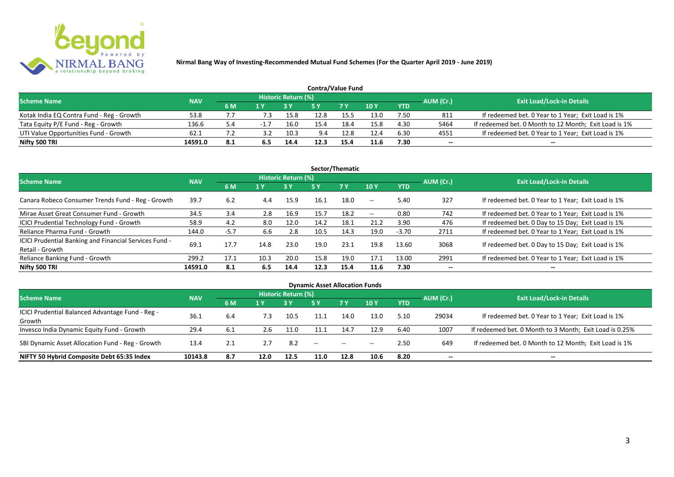

| <b>Contra/Value Fund</b>                  |            |     |        |                     |      |            |      |            |           |                                                       |  |  |  |
|-------------------------------------------|------------|-----|--------|---------------------|------|------------|------|------------|-----------|-------------------------------------------------------|--|--|--|
| <b>Scheme Name</b>                        | <b>NAV</b> |     |        | Historic Return (%) |      |            |      |            | AUM (Cr.) | <b>Exit Load/Lock-in Details</b>                      |  |  |  |
|                                           |            | 6 M | 1 Y    |                     |      | <b>7 Y</b> | 10Y  | <b>YTD</b> |           |                                                       |  |  |  |
| Kotak India EQ Contra Fund - Reg - Growth | 53.8       |     |        | 15.8                | 12.8 | 15.5       | 13.0 | 7.50       | 811       | If redeemed bet. 0 Year to 1 Year; Exit Load is 1%    |  |  |  |
| Tata Equity P/E Fund - Reg - Growth       | 136.6      | 5.4 | $-1.7$ | 16.0                | 15.4 | 18.4       | 15.8 | 4.30       | 5464      | If redeemed bet. 0 Month to 12 Month; Exit Load is 1% |  |  |  |
| UTI Value Opportunities Fund - Growth     | 62.⊥       |     |        | 10.3                | 9.4  | 12.8       | 12.4 | 6.30       | 4551      | If redeemed bet. 0 Year to 1 Year; Exit Load is 1%    |  |  |  |
| Nifty 500 TRI                             | 14591.0    | 8.1 | 6.5    | 14.4                | 12.3 | 15.4       | 11.6 | 7.30       | $- -$     | $- -$                                                 |  |  |  |

| Sector/Thematic                                                           |            |        |      |                            |      |           |                          |            |           |                                                    |  |  |  |
|---------------------------------------------------------------------------|------------|--------|------|----------------------------|------|-----------|--------------------------|------------|-----------|----------------------------------------------------|--|--|--|
| <b>Scheme Name</b>                                                        | <b>NAV</b> |        |      | <b>Historic Return (%)</b> |      |           |                          |            | AUM (Cr.) | <b>Exit Load/Lock-in Details</b>                   |  |  |  |
|                                                                           |            | 6 M    | 1 Y  | <b>3 Y</b>                 | 5 Y  | <b>7Y</b> | <b>10Y</b>               | <b>YTD</b> |           |                                                    |  |  |  |
| Canara Robeco Consumer Trends Fund - Reg - Growth                         | 39.7       | 6.2    | 4.4  | 15.9                       | 16.1 | 18.0      | $\sim$ $-$               | 5.40       | 327       | If redeemed bet. 0 Year to 1 Year; Exit Load is 1% |  |  |  |
| Mirae Asset Great Consumer Fund - Growth                                  | 34.5       | 3.4    | 2.8  | 16.9                       | 15.7 | 18.2      | $\overline{\phantom{a}}$ | 0.80       | 742       | If redeemed bet. 0 Year to 1 Year; Exit Load is 1% |  |  |  |
| <b>ICICI Prudential Technology Fund - Growth</b>                          | 58.9       | 4.2    | 8.0  | 12.0                       | 14.2 | 18.1      | 21.2                     | 3.90       | 476       | If redeemed bet. 0 Day to 15 Day; Exit Load is 1%  |  |  |  |
| Reliance Pharma Fund - Growth                                             | 144.0      | $-5.7$ | 6.6  | 2.8                        | 10.5 | 14.3      | 19.0                     | $-3.70$    | 2711      | If redeemed bet. 0 Year to 1 Year; Exit Load is 1% |  |  |  |
| ICICI Prudential Banking and Financial Services Fund -<br>Retail - Growth | 69.1       | 17.7   | 14.8 | 23.0                       | 19.0 | 23.1      | 19.8                     | 13.60      | 3068      | If redeemed bet. 0 Day to 15 Day; Exit Load is 1%  |  |  |  |
| Reliance Banking Fund - Growth                                            | 299.2      | 17.1   | 10.3 | 20.0                       | 15.8 | 19.0      | 17.1                     | 13.00      | 2991      | If redeemed bet. 0 Year to 1 Year; Exit Load is 1% |  |  |  |
| Nifty 500 TRI                                                             | 14591.0    | 8.1    | 6.5  | 14.4                       | 12.3 | 15.4      | 11.6                     | 7.30       | $- -$     | $\overline{\phantom{a}}$                           |  |  |  |

| <b>Dynamic Asset Allocation Funds</b>            |            |     |      |                            |                   |           |            |            |           |                                                         |  |  |
|--------------------------------------------------|------------|-----|------|----------------------------|-------------------|-----------|------------|------------|-----------|---------------------------------------------------------|--|--|
| <b>Scheme Name</b>                               | <b>NAV</b> |     |      | <b>Historic Return (%)</b> |                   |           |            |            |           | <b>Exit Load/Lock-in Details</b>                        |  |  |
|                                                  |            | 6 M | 1 Y  |                            | <b>5 Y</b>        | <b>7Y</b> | <b>10Y</b> | <b>YTD</b> | AUM (Cr.) |                                                         |  |  |
| ICICI Prudential Balanced Advantage Fund - Reg - | 36.1       |     |      |                            |                   |           |            |            |           |                                                         |  |  |
| Growth                                           |            | 6.4 | 7.3  | 10.5                       | 11.1              | 14.0      | 13.0       | 5.10       | 29034     | If redeemed bet. 0 Year to 1 Year; Exit Load is 1%      |  |  |
| Invesco India Dynamic Equity Fund - Growth       | 29.4       | 6.1 | 2.6  | 11.0                       | 11.1              | 14.7      | 12.9       | 6.40       | 1007      | If redeemed bet. 0 Month to 3 Month; Exit Load is 0.25% |  |  |
| SBI Dynamic Asset Allocation Fund - Reg - Growth | 13.4       | 2.1 |      | 8.2                        | $\hspace{0.05cm}$ | $\sim$    | $- -$      | 2.50       | 649       | If redeemed bet. 0 Month to 12 Month; Exit Load is 1%   |  |  |
| NIFTY 50 Hybrid Composite Debt 65:35 Index       | 10143.8    | 8.7 | 12.0 | 12.5                       | 11.0              | 12.8      | 10.6       | 8.20       | --        | $- -$                                                   |  |  |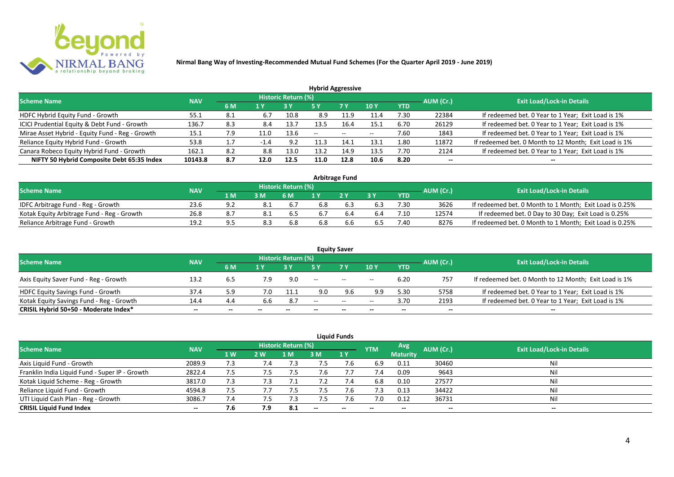

| <b>Hybrid Aggressive</b>                        |            |      |        |                     |      |               |            |            |           |                                                       |  |  |  |
|-------------------------------------------------|------------|------|--------|---------------------|------|---------------|------------|------------|-----------|-------------------------------------------------------|--|--|--|
| <b>Scheme Name</b>                              | <b>NAV</b> |      |        | Historic Return (%) |      |               |            |            | AUM (Cr.) | <b>Exit Load/Lock-in Details</b>                      |  |  |  |
|                                                 |            | 6 M  | 1 Y    |                     | 5 Y  | 7 Y           | <b>10Y</b> | <b>YTD</b> |           |                                                       |  |  |  |
| HDFC Hybrid Equity Fund - Growth                | 55.1       | -8.1 | 6.7    | 10.8                | 8.9  | 11.9          | 11.4       | 7.30       | 22384     | If redeemed bet. 0 Year to 1 Year; Exit Load is 1%    |  |  |  |
| ICICI Prudential Equity & Debt Fund - Growth    | 136.7      | 8.3  | 8.4    | 13.7                | 13.5 | 16.4          | 15.1       | 6.70       | 26129     | If redeemed bet. 0 Year to 1 Year; Exit Load is 1%    |  |  |  |
| Mirae Asset Hybrid - Equity Fund - Reg - Growth | 15.1       | 7.9  | 11.0   | 13.6                | --   | $\sim$ $\sim$ | $- -$      | 7.60       | 1843      | If redeemed bet. 0 Year to 1 Year; Exit Load is 1%    |  |  |  |
| Reliance Equity Hybrid Fund - Growth            | 53.8       |      | $-1.4$ | 9.2                 |      | 14.7          | 13.1       | 1.80       | 11872     | If redeemed bet. 0 Month to 12 Month; Exit Load is 1% |  |  |  |
| Canara Robeco Equity Hybrid Fund - Growth       | 162.1      | 8.2  | 8.8    | 13.0                | 13.2 | 14.9          | 13.5       | 7.70       | 2124      | If redeemed bet. 0 Year to 1 Year; Exit Load is 1%    |  |  |  |
| NIFTY 50 Hybrid Composite Debt 65:35 Index      | 10143.8    | 8.7  | 12.0   | 12.5                | 11.0 | 12.8          | 10.6       | 8.20       | $- -$     |                                                       |  |  |  |
|                                                 |            |      |        |                     |      |               |            |            |           |                                                       |  |  |  |

| <b>Arbitrage Fund</b>                      |            |      |     |                            |     |     |     |            |           |                                                         |  |  |  |
|--------------------------------------------|------------|------|-----|----------------------------|-----|-----|-----|------------|-----------|---------------------------------------------------------|--|--|--|
| <b>Scheme Name</b>                         | <b>NAV</b> |      |     | <b>Historic Return (%)</b> |     |     |     |            | AUM (Cr.) | <b>Exit Load/Lock-in Details</b>                        |  |  |  |
|                                            |            | 1 M. |     | 6 M                        |     | 2V  |     | <b>YTD</b> |           |                                                         |  |  |  |
| IDFC Arbitrage Fund - Reg - Growth         | 23.6       | ດ າ  |     | 6.7                        | 5.8 |     | 6.3 | 7.30       | 3626      | If redeemed bet. 0 Month to 1 Month; Exit Load is 0.25% |  |  |  |
| Kotak Equity Arbitrage Fund - Reg - Growth | 26.8       |      | 8.1 | 6.5                        |     | 6.4 | 6.4 | 7.10       | 12574     | If redeemed bet. 0 Day to 30 Day; Exit Load is 0.25%    |  |  |  |
| Reliance Arbitrage Fund - Growth           | 19.2       | 9.5  | 8.3 | 6.8                        | 5.8 |     | 6.5 | 7.40       | 8276      | If redeemed bet. 0 Month to 1 Month; Exit Load is 0.25% |  |  |  |

| <b>Equity Saver</b>                      |            |       |       |                            |      |           |                          |            |                          |                                                       |  |  |  |
|------------------------------------------|------------|-------|-------|----------------------------|------|-----------|--------------------------|------------|--------------------------|-------------------------------------------------------|--|--|--|
| <b>Scheme Name</b>                       | <b>NAV</b> |       |       | <b>Historic Return (%)</b> |      |           |                          |            | AUM (Cr.)                | <b>Exit Load/Lock-in Details</b>                      |  |  |  |
|                                          |            | 6 M   |       |                            |      | <b>7Y</b> | <b>10Y</b>               | <b>YTD</b> |                          |                                                       |  |  |  |
| Axis Equity Saver Fund - Reg - Growth    | 13.2       | ხ.5   | 7.9   | 9.0                        | $ -$ | $\sim$    | $\overline{\phantom{a}}$ | 6.20       | 757                      | If redeemed bet. 0 Month to 12 Month; Exit Load is 1% |  |  |  |
| HDFC Equity Savings Fund - Growth        | 37.4       | 5.9   | 7.0   | 11.1                       | 9.0  |           | 9.9                      | 5.30       | 5758                     | If redeemed bet. 0 Year to 1 Year; Exit Load is 1%    |  |  |  |
| Kotak Equity Savings Fund - Reg - Growth | 14.4       | 4.4   | 6.6   | 8.7                        | --   | $  \,$    | $- -$                    | 3.70       | 2193                     | If redeemed bet. 0 Year to 1 Year; Exit Load is 1%    |  |  |  |
| CRISIL Hybrid 50+50 - Moderate Index*    | $- -$      | $- -$ | $- -$ | $- -$                      |      | $- -$     | $\overline{\phantom{a}}$ | $- -$      | $\overline{\phantom{a}}$ | $- -$                                                 |  |  |  |

| <b>Liquid Funds</b>                            |            |           |     |                            |        |           |            |                 |           |                                  |  |  |  |
|------------------------------------------------|------------|-----------|-----|----------------------------|--------|-----------|------------|-----------------|-----------|----------------------------------|--|--|--|
| <b>Scheme Name</b>                             | <b>NAV</b> |           |     | <b>Historic Return (%)</b> |        |           | <b>YTM</b> | Avg             | AUM (Cr.) | <b>Exit Load/Lock-in Details</b> |  |  |  |
|                                                |            | <b>1W</b> | 2W  | 1 M                        | 3 M    | <b>1Y</b> |            | <b>Maturity</b> |           |                                  |  |  |  |
| Axis Liquid Fund - Growth                      | 2089.9     | 7.3       | 1.4 |                            | 7.5    | 7.6       | 6.9        | 0.11            | 30460     | Nil                              |  |  |  |
| Franklin India Liquid Fund - Super IP - Growth | 2822.4     | 7.5       | כ.י | 7.5                        | 7.6    |           | 7.4        | 0.09            | 9643      | Nil                              |  |  |  |
| Kotak Liquid Scheme - Reg - Growth             | 3817.0     | 7.3       | 7.3 |                            | 7.2    | 7.4       | 6.8        | 0.10            | 27577     | Nil                              |  |  |  |
| Reliance Liquid Fund - Growth                  | 4594.8     | 7.5       |     | 7.5                        | 7.5    | 7.6       | 7.3        | 0.13            | 34422     | Nil                              |  |  |  |
| UTI Liquid Cash Plan - Reg - Growth            | 3086.7     | 7.4       | כ.י | 7.3                        | 7.5    | 7.b       | 7.0        | 0.12            | 36731     | Nil                              |  |  |  |
| <b>CRISIL Liquid Fund Index</b>                | $- -$      | 7.6       | 7.9 | 8.1                        | $\sim$ | $-$       | $- -$      | $- -$           | $- -$     | $\sim$                           |  |  |  |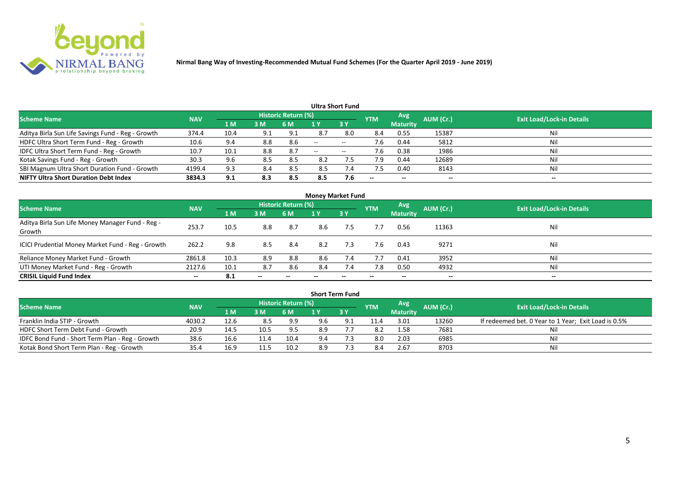

| Ultra Short Fund                                  |            |      |     |                            |       |                          |                          |                          |           |                                  |  |  |  |
|---------------------------------------------------|------------|------|-----|----------------------------|-------|--------------------------|--------------------------|--------------------------|-----------|----------------------------------|--|--|--|
| <b>Scheme Name</b>                                | <b>NAV</b> |      |     | <b>Historic Return (%)</b> |       |                          | <b>YTM</b>               | Avg                      | AUM (Cr.) | <b>Exit Load/Lock-in Details</b> |  |  |  |
|                                                   |            | 1 M  | 3M  | 6 M                        |       | 3Y                       |                          | <b>Maturity</b>          |           |                                  |  |  |  |
| Aditya Birla Sun Life Savings Fund - Reg - Growth | 374.4      | 10.4 | 9.1 | 9.1                        | 8.7   | 8.0                      | 8.4                      | 0.55                     | 15387     | Nil                              |  |  |  |
| HDFC Ultra Short Term Fund - Reg - Growth         | 10.6       | 9.4  | 8.8 | 8.6                        | $-$   | $- -$                    | 7.6                      | 0.44                     | 5812      | Nil                              |  |  |  |
| IDFC Ultra Short Term Fund - Reg - Growth         | 10.7       | 10.1 | 8.8 | 8.7                        | $- -$ | $\overline{\phantom{a}}$ | 7.6                      | 0.38                     | 1986      | Nil                              |  |  |  |
| Kotak Savings Fund - Reg - Growth                 | 30.3       | 9.6  | 8.5 | 8.5                        | 8.2   | 7.5                      | 7.9                      | 0.44                     | 12689     | Nil                              |  |  |  |
| SBI Magnum Ultra Short Duration Fund - Growth     | 4199.4     | 9.3  | 8.4 | 8.5                        | 8.5   | $\sqrt{.4}$              | 7.5                      | 0.40                     | 8143      | Nil                              |  |  |  |
| <b>NIFTY Ultra Short Duration Debt Index</b>      | 3834.3     | 9.1  | 8.3 | 8.5                        | 8.5   | 7.6                      | $\overline{\phantom{a}}$ | $\overline{\phantom{a}}$ | --        | $- -$                            |  |  |  |

| <b>Money Market Fund</b>                                   |            |                |       |                     |     |           |            |                 |           |                                  |  |  |  |
|------------------------------------------------------------|------------|----------------|-------|---------------------|-----|-----------|------------|-----------------|-----------|----------------------------------|--|--|--|
| <b>Scheme Name</b>                                         | <b>NAV</b> |                |       | Historic Return (%) |     |           | <b>YTM</b> | Avg             | AUM (Cr.) | <b>Exit Load/Lock-in Details</b> |  |  |  |
|                                                            |            | 1 <sub>M</sub> | 3 M   | 6 M                 | 1 Y | <b>3Y</b> |            | <b>Maturity</b> |           |                                  |  |  |  |
| Aditya Birla Sun Life Money Manager Fund - Reg -<br>Growth | 253.7      | 10.5           | 8.8   | 8.7                 | 8.6 | 7.5       | 7.7        | 0.56            | 11363     | Nil                              |  |  |  |
| ICICI Prudential Money Market Fund - Reg - Growth          | 262.2      | 9.8            | 8.5   | -8.4                | 8.2 | 7.3       | 7.6        | 0.43            | 9271      | Nil                              |  |  |  |
| Reliance Money Market Fund - Growth                        | 2861.8     | 10.3           | 8.9   | 8.8                 | 8.6 | 7.4       | 7.7        | 0.41            | 3952      | Nil                              |  |  |  |
| UTI Money Market Fund - Reg - Growth                       | 2127.6     | 10.1           | 8.7   | 8.6                 | 8.4 | 7.4       | 7.8        | 0.50            | 4932      | Nil                              |  |  |  |
| <b>CRISIL Liquid Fund Index</b>                            | $- -$      | 8.1            | $- -$ |                     |     |           | --         | $- -$           | $- -$     | $- -$                            |  |  |  |

| <b>Short Term Fund</b>                          |            |      |      |                     |     |      |            |                 |           |                                                      |  |  |  |
|-------------------------------------------------|------------|------|------|---------------------|-----|------|------------|-----------------|-----------|------------------------------------------------------|--|--|--|
| <b>Scheme Name</b>                              | <b>NAV</b> |      |      | Historic Return (%) |     |      | <b>YTM</b> | Avg             | AUM (Cr.) | <b>Exit Load/Lock-in Details</b>                     |  |  |  |
|                                                 |            | 1 MZ | 3M   | 6 M                 |     | 73 Y |            | <b>Maturity</b> |           |                                                      |  |  |  |
| Franklin India STIP - Growth                    | 4030.2     | 12.6 | 8.5  | 9.9                 | 9.6 |      | 11.4       | 3.01            | 13260     | If redeemed bet. 0 Year to 1 Year; Exit Load is 0.5% |  |  |  |
| HDFC Short Term Debt Fund - Growth              | 20.9       | 14.5 | 10.5 | 9.5                 | 8.9 |      | 8.2        | 1.58            | 7681      | Nil                                                  |  |  |  |
| IDFC Bond Fund - Short Term Plan - Reg - Growth | 38.6       | 16.6 | 11.4 | 10.4                | 9.4 | 7.3  | 8.0        | 2.03            | 6985      | Nil                                                  |  |  |  |
| Kotak Bond Short Term Plan - Reg - Growth       | 35.4       | 16.9 | 11.5 | 10.2                | 8.9 |      | 8.4        | 2.67            | 8703      | Nil                                                  |  |  |  |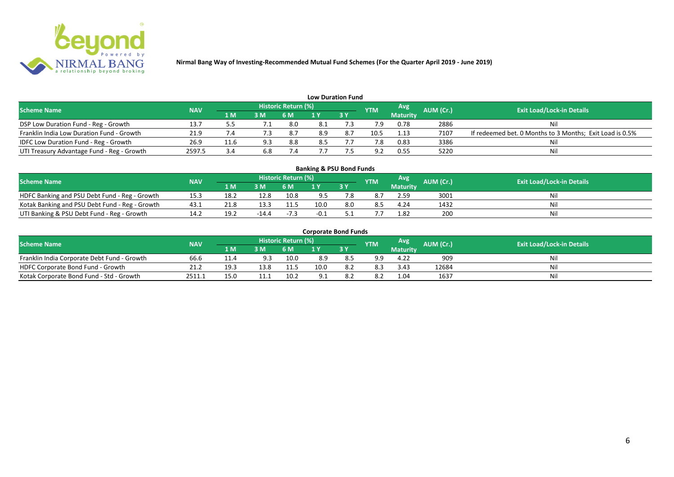

| <b>Low Duration Fund</b>                   |            |            |                |                     |     |           |                |                 |           |                                                          |  |  |  |
|--------------------------------------------|------------|------------|----------------|---------------------|-----|-----------|----------------|-----------------|-----------|----------------------------------------------------------|--|--|--|
| <b>Scheme Name</b>                         | <b>NAV</b> |            |                | Historic Return (%) |     |           | <b>YTM</b>     | <b>Avg</b>      | AUM (Cr.) | <b>Exit Load/Lock-in Details</b>                         |  |  |  |
|                                            |            | '1 M       | 3 <sub>N</sub> | 6 M                 |     | <b>3Y</b> |                | <b>Maturity</b> |           |                                                          |  |  |  |
| DSP Low Duration Fund - Reg - Growth       | 13.7       | 5.5        |                | 8.0                 |     |           | 7.9            | 0.78            | 2886      | Nil                                                      |  |  |  |
| Franklin India Low Duration Fund - Growth  | 21.9       | $\cdot$ .4 |                | 8.7                 | 8.9 | 8.7       | 10.5           | 1.13            | 7107      | If redeemed bet. 0 Months to 3 Months; Exit Load is 0.5% |  |  |  |
| IDFC Low Duration Fund - Reg - Growth      | 26.9       | 11.6       | 9.3            | 8.8                 |     |           |                | 0.83            | 3386      | Nil                                                      |  |  |  |
| UTI Treasury Advantage Fund - Reg - Growth | 2597.5     |            | 6.8            |                     |     |           | Q <sub>2</sub> | 0.55            | 5220      | Nil                                                      |  |  |  |

#### 1 M 3 M 6 M 1 Y 3 Y 18.2 12.8 10.8 9.5 7.1 NOFC Banking and PSU Debt Fund - Reg - Growth 15.3 18.2 12.8 10.8 9.5 7.8 8.7 2.59 3001 Nil<br>
Kotak Banking and PSU Debt Fund - Reg - Growth 43.1 21.8 13.3 11.5 10.0 8.0 8.5 4.24 1432 Nil Kotak Banking and PSU Debt Fund - Reg - Growth 43.1 21.8 13.3 11.5 10.0 8.0 8.5 4.24 1432<br>
UTI Banking & PSU Debt Fund - Reg - Growth 14.2 19.2 - 14.4 - 7.3 - 0.1 5.1 7.7 1.82 200 UTI Banking & PSU Debt Fund - Reg - Growth 14.2 19.2 -14.4 -7.3 -0.1 5.1 7.7 1.82 200 Nil **Banking & PSU Bond Funds Scheme Name NAV AUM AUM AUM AUM AUM AUM AUM AUM AUM Exit Load/Lock-in Details**<br>**AUM AUM AUM AUM AUM AUM AUM AUM Exit Load/Lock-in Details Historic Return (%) Maturity**

| <b>Corporate Bond Funds</b> |  |  |
|-----------------------------|--|--|
|-----------------------------|--|--|

| Scheme Name                                 | <b>NAV</b> |        |     | <b>Historic Return (%)</b> |      |            | <b>YTM</b> | <b>Avg</b><br><b>Maturity</b> | <b>AUM (Cr.)</b> | <b>Exit Load/Lock-in Details</b> |
|---------------------------------------------|------------|--------|-----|----------------------------|------|------------|------------|-------------------------------|------------------|----------------------------------|
|                                             |            | 1 M .  | 3 M |                            |      | <b>3 Y</b> |            |                               |                  |                                  |
| Franklin India Corporate Debt Fund - Growth | 66.b       |        | 9.3 | 10.0                       | 8.9  |            | 9.9        | 4.22                          | 909              | Nil                              |
| HDFC Corporate Bond Fund - Growth           | 21.2       | $10 -$ |     | 11.5                       | 10.0 | 8.2        | 8.3        | 3.43                          | 12684            | Nil                              |
| Kotak Corporate Bond Fund - Std - Growth    | 2511.      |        |     | 10.2                       |      |            | 8.2        | 1.04                          | 1637             | Nil                              |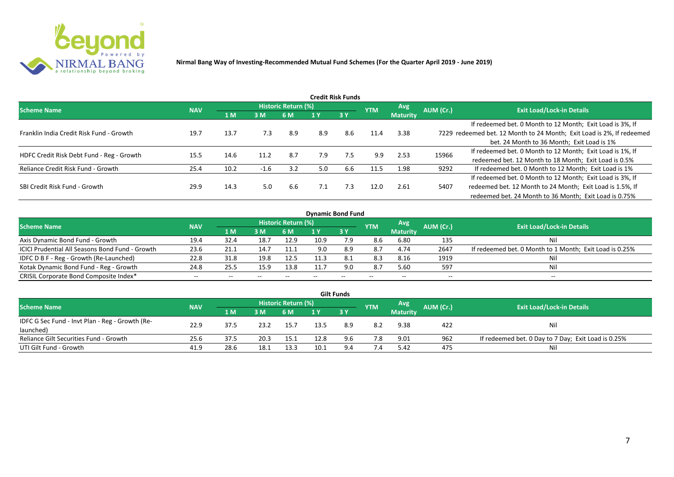

| Credit Risk Funds                         |            |      |        |                     |     |           |            |                               |           |                                                                       |  |  |  |
|-------------------------------------------|------------|------|--------|---------------------|-----|-----------|------------|-------------------------------|-----------|-----------------------------------------------------------------------|--|--|--|
| <b>Scheme Name</b>                        | <b>NAV</b> |      |        | Historic Return (%) |     |           | <b>YTM</b> | <b>Avg</b><br><b>Maturity</b> | AUM (Cr.) | <b>Exit Load/Lock-in Details</b>                                      |  |  |  |
|                                           |            | 1 M  | 3M     | 6 M                 |     | <b>3Y</b> |            |                               |           |                                                                       |  |  |  |
|                                           |            |      |        |                     |     |           |            |                               |           | If redeemed bet. 0 Month to 12 Month; Exit Load is 3%, If             |  |  |  |
| Franklin India Credit Risk Fund - Growth  | 19.7       | 13.7 | 7.3    | 8.9                 | 8.9 | 8.6       | 11.4       | 3.38                          |           | 7229 redeemed bet. 12 Month to 24 Month; Exit Load is 2%, If redeemed |  |  |  |
|                                           |            |      |        |                     |     |           |            |                               |           | bet. 24 Month to 36 Month; Exit Load is 1%                            |  |  |  |
| HDFC Credit Risk Debt Fund - Reg - Growth | 15.5       |      |        | 8.7                 |     |           | 9.9        |                               | 15966     | If redeemed bet. 0 Month to 12 Month; Exit Load is 1%, If             |  |  |  |
|                                           |            | 14.6 | 11.2   |                     | 7.9 | 7.5       |            | 2.53                          |           | redeemed bet. 12 Month to 18 Month; Exit Load is 0.5%                 |  |  |  |
| Reliance Credit Risk Fund - Growth        | 25.4       | 10.2 | $-1.6$ | 3.2                 | 5.0 | 6.6       | 11.5       | 1.98                          | 9292      | If redeemed bet. 0 Month to 12 Month; Exit Load is 1%                 |  |  |  |
|                                           |            |      |        |                     |     |           |            |                               |           | If redeemed bet. 0 Month to 12 Month; Exit Load is 3%, If             |  |  |  |
| SBI Credit Risk Fund - Growth             | 29.9       | 14.3 | 5.0    | 6.6                 | 7.1 | 7.3       | 12.0       | 2.61                          | 5407      | redeemed bet. 12 Month to 24 Month; Exit Load is 1.5%, If             |  |  |  |
|                                           |            |      |        |                     |     |           |            |                               |           | redeemed bet. 24 Month to 36 Month; Exit Load is 0.75%                |  |  |  |

| <b>Dynamic Bond Fund</b>                        |            |      |       |                            |      |       |            |                 |           |                                                         |  |  |  |  |
|-------------------------------------------------|------------|------|-------|----------------------------|------|-------|------------|-----------------|-----------|---------------------------------------------------------|--|--|--|--|
| <b>Scheme Name</b>                              | <b>NAV</b> |      |       | <b>Historic Return (%)</b> |      |       | <b>YTM</b> | Avg             | AUM (Cr.) | <b>Exit Load/Lock-in Details</b>                        |  |  |  |  |
|                                                 |            | 1 M  | 3M    | 6 M                        |      | 3Y    |            | <b>Maturity</b> |           |                                                         |  |  |  |  |
| Axis Dynamic Bond Fund - Growth                 | 19.4       | 32.4 | 18.7  | 12.9                       | 10.9 | 7.9   | 8.6        | 6.80            | 135       | Nil                                                     |  |  |  |  |
| ICICI Prudential All Seasons Bond Fund - Growth | 23.6       | 21.1 | 14.7  | 11.1                       | 9.0  | 8.9   | 8.7        | 4.74            | 2647      | If redeemed bet. 0 Month to 1 Month; Exit Load is 0.25% |  |  |  |  |
| IDFC D B F - Reg - Growth (Re-Launched)         | 22.8       | 31.8 | 19.8  | 12.5                       |      | 8.1   | 8.3        | 8.16            | 1919      | Nil                                                     |  |  |  |  |
| Kotak Dynamic Bond Fund - Reg - Growth          | 24.8       | 25.5 | 15.9  | 13.8                       |      | 9.0   | 8.7        | 5.60            | 597       | Nil                                                     |  |  |  |  |
| CRISIL Corporate Bond Composite Index*          | $- -$      | --   | $- -$ |                            |      | $- -$ | $- -$      | --              | --        | $- -$                                                   |  |  |  |  |

| <b>Gilt Funds</b>                               |            |      |      |                     |      |      |            |                 |           |                                                     |  |  |  |
|-------------------------------------------------|------------|------|------|---------------------|------|------|------------|-----------------|-----------|-----------------------------------------------------|--|--|--|
| <b>Scheme Name</b>                              | <b>NAV</b> |      |      | Historic Return (%) |      |      | <b>YTM</b> | Avg             | AUM (Cr.) | <b>Exit Load/Lock-in Details</b>                    |  |  |  |
|                                                 |            | 1 M  | 3 M  | 6 M.                | 1 Y  | 73 Y |            | <b>Maturity</b> |           |                                                     |  |  |  |
| IDFC G Sec Fund - Invt Plan - Reg - Growth (Re- | 22.9       | 37.5 | 23.2 | 15.7                | 13.5 | 8.9  | 8.2        | 9.38            | 422       | Nil                                                 |  |  |  |
| launched)                                       |            |      |      |                     |      |      |            |                 |           |                                                     |  |  |  |
| Reliance Gilt Securities Fund - Growth          | 25.6       | 37.5 | 20.3 | 15.1                | 12.8 | 9.6  | 7.8        | 9.01            | 962       | If redeemed bet. 0 Day to 7 Day; Exit Load is 0.25% |  |  |  |
| UTI Gilt Fund - Growth                          | 41.9       | 28.6 | 18.1 | 13.3                | 10.1 | 9.4  | 7.4        | 5.42            | 475       | Nil                                                 |  |  |  |